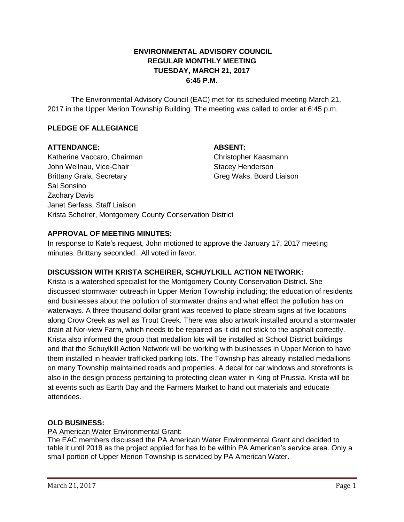# **ENVIRONMENTAL ADVISORY COUNCIL REGULAR MONTHLY MEETING TUESDAY, MARCH 21, 2017 6:45 P.M.**

The Environmental Advisory Council (EAC) met for its scheduled meeting March 21, 2017 in the Upper Merion Township Building. The meeting was called to order at 6:45 p.m.

# **PLEDGE OF ALLEGIANCE**

### **ATTENDANCE: ABSENT:**

Katherine Vaccaro, Chairman Christopher Kaasmann John Weilnau, Vice-Chair Stacey Henderson Brittany Grala, Secretary Green Controllery Green Green Waks, Board Liaison Sal Sonsino Zachary Davis Janet Serfass, Staff Liaison Krista Scheirer, Montgomery County Conservation District

# **APPROVAL OF MEETING MINUTES:**

In response to Kate's request, John motioned to approve the January 17, 2017 meeting minutes. Brittany seconded. All voted in favor.

# **DISCUSSION WITH KRISTA SCHEIRER, SCHUYLKILL ACTION NETWORK:**

Krista is a watershed specialist for the Montgomery County Conservation District. She discussed stormwater outreach in Upper Merion Township including; the education of residents and businesses about the pollution of stormwater drains and what effect the pollution has on waterways. A three thousand dollar grant was received to place stream signs at five locations along Crow Creek as well as Trout Creek. There was also artwork installed around a stormwater drain at Nor-view Farm, which needs to be repaired as it did not stick to the asphalt correctly. Krista also informed the group that medallion kits will be installed at School District buildings and that the Schuylkill Action Network will be working with businesses in Upper Merion to have them installed in heavier trafficked parking lots. The Township has already installed medallions on many Township maintained roads and properties. A decal for car windows and storefronts is also in the design process pertaining to protecting clean water in King of Prussia. Krista will be at events such as Earth Day and the Farmers Market to hand out materials and educate attendees.

### **OLD BUSINESS:**

PA American Water Environmental Grant:

The EAC members discussed the PA American Water Environmental Grant and decided to table it until 2018 as the project applied for has to be within PA American's service area. Only a small portion of Upper Merion Township is serviced by PA American Water.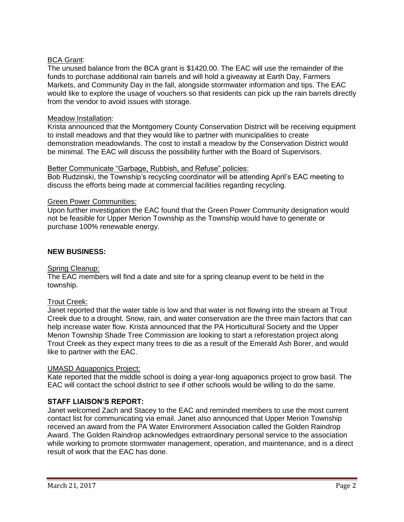# BCA Grant:

The unused balance from the BCA grant is \$1420.00. The EAC will use the remainder of the funds to purchase additional rain barrels and will hold a giveaway at Earth Day, Farmers Markets, and Community Day in the fall, alongside stormwater information and tips. The EAC would like to explore the usage of vouchers so that residents can pick up the rain barrels directly from the vendor to avoid issues with storage.

#### Meadow Installation:

Krista announced that the Montgomery County Conservation District will be receiving equipment to install meadows and that they would like to partner with municipalities to create demonstration meadowlands. The cost to install a meadow by the Conservation District would be minimal. The EAC will discuss the possibility further with the Board of Supervisors.

#### Better Communicate "Garbage, Rubbish, and Refuse" policies:

Bob Rudzinski, the Township's recycling coordinator will be attending April's EAC meeting to discuss the efforts being made at commercial facilities regarding recycling.

#### Green Power Communities:

Upon further investigation the EAC found that the Green Power Community designation would not be feasible for Upper Merion Township as the Township would have to generate or purchase 100% renewable energy.

#### **NEW BUSINESS:**

# Spring Cleanup:

The EAC members will find a date and site for a spring cleanup event to be held in the township.

### Trout Creek:

Janet reported that the water table is low and that water is not flowing into the stream at Trout Creek due to a drought. Snow, rain, and water conservation are the three main factors that can help increase water flow. Krista announced that the PA Horticultural Society and the Upper Merion Township Shade Tree Commission are looking to start a reforestation project along Trout Creek as they expect many trees to die as a result of the Emerald Ash Borer, and would like to partner with the EAC.

#### UMASD Aquaponics Project:

Kate reported that the middle school is doing a year-long aquaponics project to grow basil. The EAC will contact the school district to see if other schools would be willing to do the same.

### **STAFF LIAISON'S REPORT:**

Janet welcomed Zach and Stacey to the EAC and reminded members to use the most current contact list for communicating via email. Janet also announced that Upper Merion Township received an award from the PA Water Environment Association called the Golden Raindrop Award. The Golden Raindrop acknowledges extraordinary personal service to the association while working to promote stormwater management, operation, and maintenance, and is a direct result of work that the EAC has done.